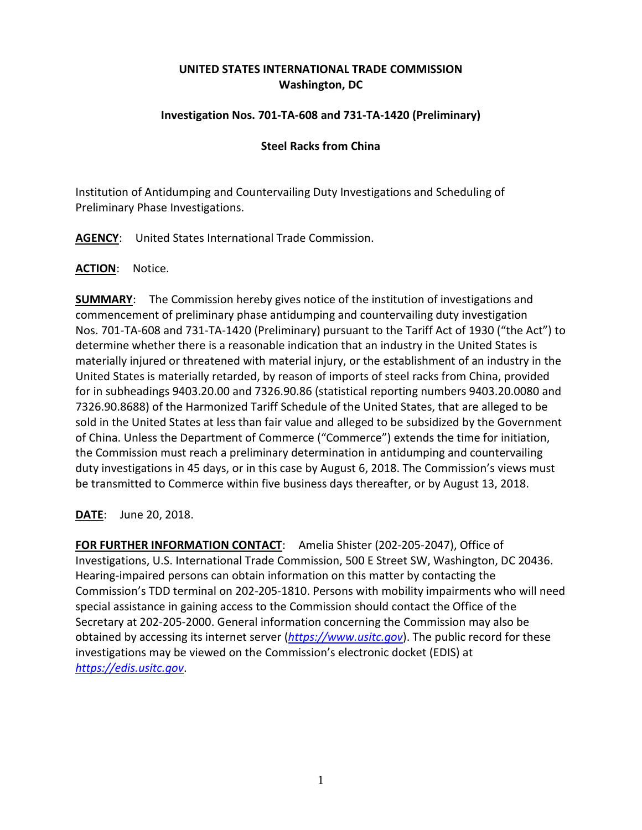# **UNITED STATES INTERNATIONAL TRADE COMMISSION Washington, DC**

## **Investigation Nos. 701-TA-608 and 731-TA-1420 (Preliminary)**

### **Steel Racks from China**

Institution of Antidumping and Countervailing Duty Investigations and Scheduling of Preliminary Phase Investigations.

**AGENCY**: United States International Trade Commission.

#### **ACTION**: Notice.

**SUMMARY**: The Commission hereby gives notice of the institution of investigations and commencement of preliminary phase antidumping and countervailing duty investigation Nos. 701-TA-608 and 731-TA-1420 (Preliminary) pursuant to the Tariff Act of 1930 ("the Act") to determine whether there is a reasonable indication that an industry in the United States is materially injured or threatened with material injury, or the establishment of an industry in the United States is materially retarded, by reason of imports of steel racks from China, provided for in subheadings 9403.20.00 and 7326.90.86 (statistical reporting numbers 9403.20.0080 and 7326.90.8688) of the Harmonized Tariff Schedule of the United States, that are alleged to be sold in the United States at less than fair value and alleged to be subsidized by the Government of China. Unless the Department of Commerce ("Commerce") extends the time for initiation, the Commission must reach a preliminary determination in antidumping and countervailing duty investigations in 45 days, or in this case by August 6, 2018. The Commission's views must be transmitted to Commerce within five business days thereafter, or by August 13, 2018.

**DATE**: June 20, 2018.

**FOR FURTHER INFORMATION CONTACT**: Amelia Shister (202-205-2047), Office of Investigations, U.S. International Trade Commission, 500 E Street SW, Washington, DC 20436. Hearing-impaired persons can obtain information on this matter by contacting the Commission's TDD terminal on 202-205-1810. Persons with mobility impairments who will need special assistance in gaining access to the Commission should contact the Office of the Secretary at 202-205-2000. General information concerning the Commission may also be obtained by accessing its internet server (*[https://www.usitc.gov](https://www.usitc.gov/)*). The public record for these investigations may be viewed on the Commission's electronic docket (EDIS) at *[https://edis.usitc.gov](https://edis.usitc.gov/)*.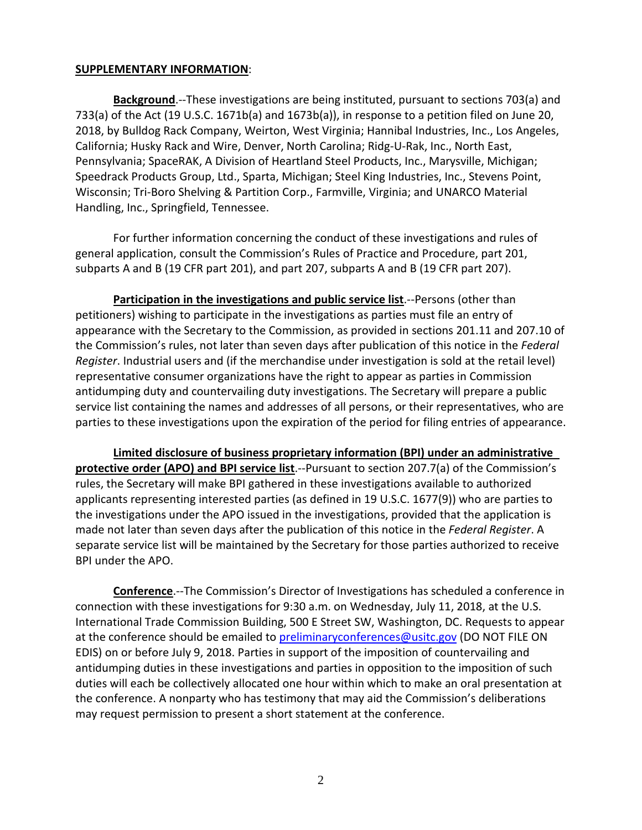#### **SUPPLEMENTARY INFORMATION**:

**Background**.--These investigations are being instituted, pursuant to sections 703(a) and 733(a) of the Act (19 U.S.C. 1671b(a) and 1673b(a)), in response to a petition filed on June 20, 2018, by Bulldog Rack Company, Weirton, West Virginia; Hannibal Industries, Inc., Los Angeles, California; Husky Rack and Wire, Denver, North Carolina; Ridg-U-Rak, Inc., North East, Pennsylvania; SpaceRAK, A Division of Heartland Steel Products, Inc., Marysville, Michigan; Speedrack Products Group, Ltd., Sparta, Michigan; Steel King Industries, Inc., Stevens Point, Wisconsin; Tri-Boro Shelving & Partition Corp., Farmville, Virginia; and UNARCO Material Handling, Inc., Springfield, Tennessee.

For further information concerning the conduct of these investigations and rules of general application, consult the Commission's Rules of Practice and Procedure, part 201, subparts A and B (19 CFR part 201), and part 207, subparts A and B (19 CFR part 207).

**Participation in the investigations and public service list**.--Persons (other than petitioners) wishing to participate in the investigations as parties must file an entry of appearance with the Secretary to the Commission, as provided in sections 201.11 and 207.10 of the Commission's rules, not later than seven days after publication of this notice in the *Federal Register*. Industrial users and (if the merchandise under investigation is sold at the retail level) representative consumer organizations have the right to appear as parties in Commission antidumping duty and countervailing duty investigations. The Secretary will prepare a public service list containing the names and addresses of all persons, or their representatives, who are parties to these investigations upon the expiration of the period for filing entries of appearance.

**Limited disclosure of business proprietary information (BPI) under an administrative protective order (APO) and BPI service list**.--Pursuant to section 207.7(a) of the Commission's rules, the Secretary will make BPI gathered in these investigations available to authorized applicants representing interested parties (as defined in 19 U.S.C. 1677(9)) who are parties to the investigations under the APO issued in the investigations, provided that the application is made not later than seven days after the publication of this notice in the *Federal Register*. A separate service list will be maintained by the Secretary for those parties authorized to receive BPI under the APO.

**Conference**.--The Commission's Director of Investigations has scheduled a conference in connection with these investigations for 9:30 a.m. on Wednesday, July 11, 2018, at the U.S. International Trade Commission Building, 500 E Street SW, Washington, DC. Requests to appear at the conference should be emailed to [preliminaryconferences@usitc.gov](mailto:preliminaryconferences@usitc.gov) (DO NOT FILE ON EDIS) on or before July 9, 2018. Parties in support of the imposition of countervailing and antidumping duties in these investigations and parties in opposition to the imposition of such duties will each be collectively allocated one hour within which to make an oral presentation at the conference. A nonparty who has testimony that may aid the Commission's deliberations may request permission to present a short statement at the conference.